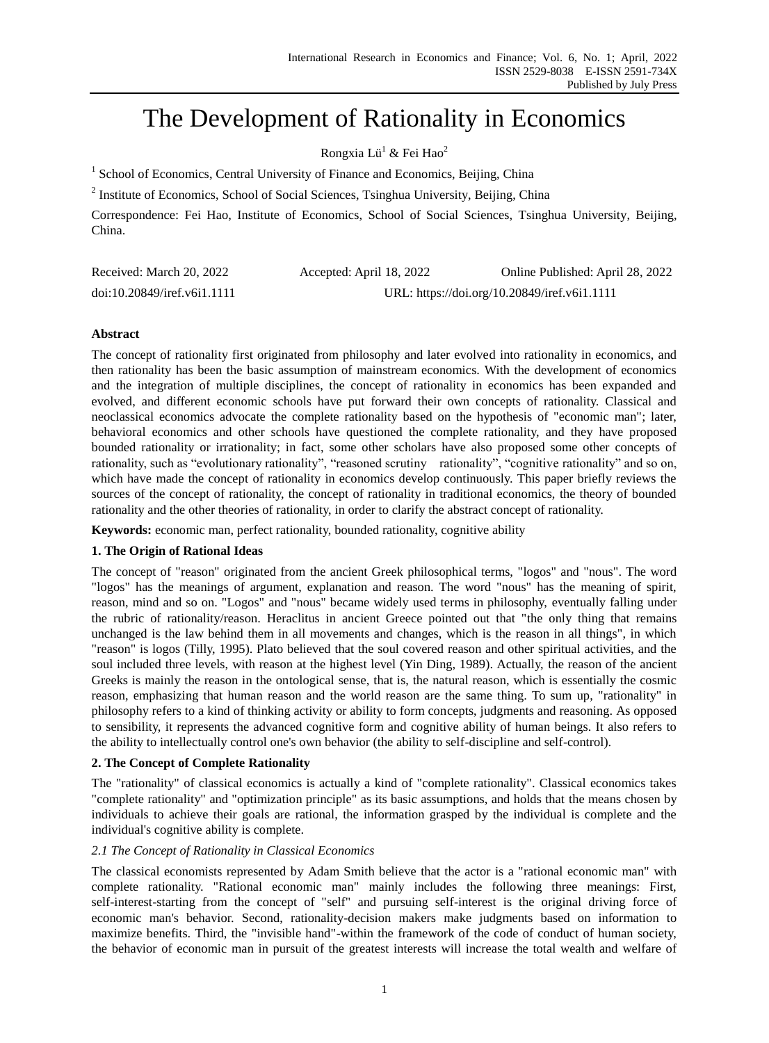# The Development of Rationality in Economics

# Rongxia Lü<sup>l</sup> & Fei Hao<sup>2</sup>

<sup>1</sup> School of Economics, Central University of Finance and Economics, Beijing, China

<sup>2</sup> Institute of Economics, School of Social Sciences, Tsinghua University, Beijing, China

Correspondence: Fei Hao, Institute of Economics, School of Social Sciences, Tsinghua University, Beijing, China.

| Received: March 20, 2022    | Accepted: April 18, 2022                     | Online Published: April 28, 2022 |
|-----------------------------|----------------------------------------------|----------------------------------|
| doi:10.20849/iref.v6i1.1111 | URL: https://doi.org/10.20849/iref.v6i1.1111 |                                  |

## **Abstract**

The concept of rationality first originated from philosophy and later evolved into rationality in economics, and then rationality has been the basic assumption of mainstream economics. With the development of economics and the integration of multiple disciplines, the concept of rationality in economics has been expanded and evolved, and different economic schools have put forward their own concepts of rationality. Classical and neoclassical economics advocate the complete rationality based on the hypothesis of "economic man"; later, behavioral economics and other schools have questioned the complete rationality, and they have proposed bounded rationality or irrationality; in fact, some other scholars have also proposed some other concepts of rationality, such as "evolutionary rationality", "reasoned scrutiny rationality", "cognitive rationality" and so on, which have made the concept of rationality in economics develop continuously. This paper briefly reviews the sources of the concept of rationality, the concept of rationality in traditional economics, the theory of bounded rationality and the other theories of rationality, in order to clarify the abstract concept of rationality.

**Keywords:** economic man, perfect rationality, bounded rationality, cognitive ability

# **1. The Origin of Rational Ideas**

The concept of "reason" originated from the ancient Greek philosophical terms, "logos" and "nous". The word "logos" has the meanings of argument, explanation and reason. The word "nous" has the meaning of spirit, reason, mind and so on. "Logos" and "nous" became widely used terms in philosophy, eventually falling under the rubric of rationality/reason. Heraclitus in ancient Greece pointed out that "the only thing that remains unchanged is the law behind them in all movements and changes, which is the reason in all things", in which "reason" is logos (Tilly, 1995). Plato believed that the soul covered reason and other spiritual activities, and the soul included three levels, with reason at the highest level (Yin Ding, 1989). Actually, the reason of the ancient Greeks is mainly the reason in the ontological sense, that is, the natural reason, which is essentially the cosmic reason, emphasizing that human reason and the world reason are the same thing. To sum up, "rationality" in philosophy refers to a kind of thinking activity or ability to form concepts, judgments and reasoning. As opposed to sensibility, it represents the advanced cognitive form and cognitive ability of human beings. It also refers to the ability to intellectually control one's own behavior (the ability to self-discipline and self-control).

# **2. The Concept of Complete Rationality**

The "rationality" of classical economics is actually a kind of "complete rationality". Classical economics takes "complete rationality" and "optimization principle" as its basic assumptions, and holds that the means chosen by individuals to achieve their goals are rational, the information grasped by the individual is complete and the individual's cognitive ability is complete.

## *2.1 The Concept of Rationality in Classical Economics*

The classical economists represented by Adam Smith believe that the actor is a "rational economic man" with complete rationality. "Rational economic man" mainly includes the following three meanings: First, self-interest-starting from the concept of "self" and pursuing self-interest is the original driving force of economic man's behavior. Second, rationality-decision makers make judgments based on information to maximize benefits. Third, the "invisible hand"-within the framework of the code of conduct of human society, the behavior of economic man in pursuit of the greatest interests will increase the total wealth and welfare of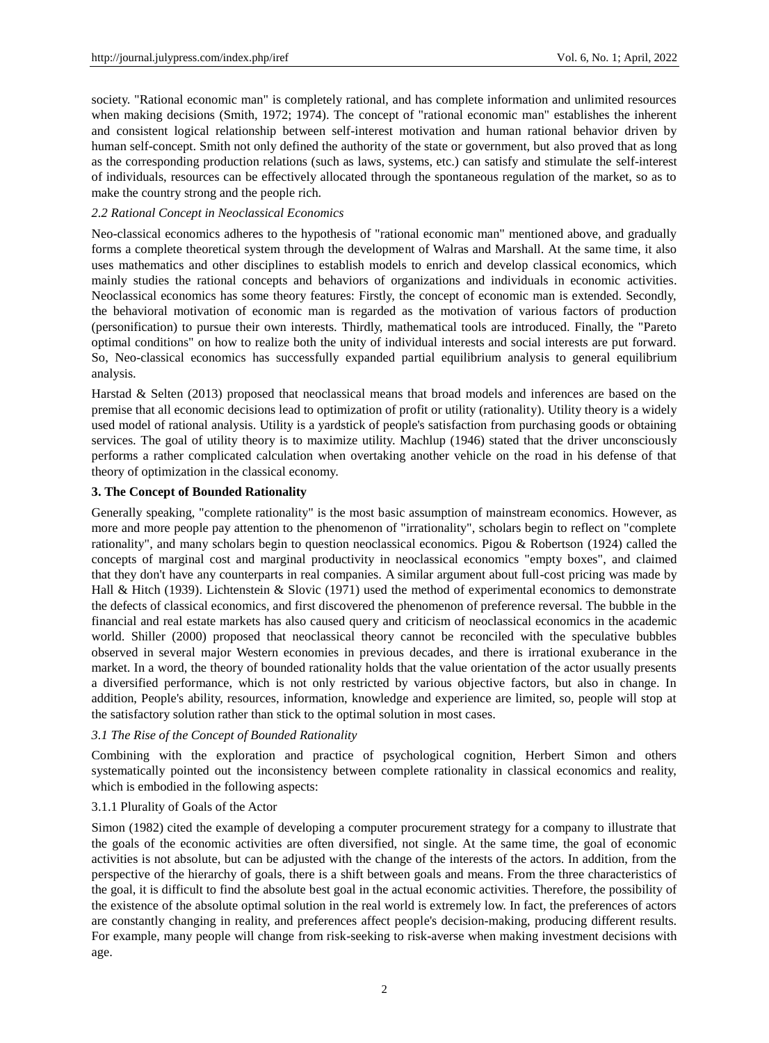society. "Rational economic man" is completely rational, and has complete information and unlimited resources when making decisions (Smith, 1972; 1974). The concept of "rational economic man" establishes the inherent and consistent logical relationship between self-interest motivation and human rational behavior driven by human self-concept. Smith not only defined the authority of the state or government, but also proved that as long as the corresponding production relations (such as laws, systems, etc.) can satisfy and stimulate the self-interest of individuals, resources can be effectively allocated through the spontaneous regulation of the market, so as to make the country strong and the people rich.

#### *2.2 Rational Concept in Neoclassical Economics*

Neo-classical economics adheres to the hypothesis of "rational economic man" mentioned above, and gradually forms a complete theoretical system through the development of Walras and Marshall. At the same time, it also uses mathematics and other disciplines to establish models to enrich and develop classical economics, which mainly studies the rational concepts and behaviors of organizations and individuals in economic activities. Neoclassical economics has some theory features: Firstly, the concept of economic man is extended. Secondly, the behavioral motivation of economic man is regarded as the motivation of various factors of production (personification) to pursue their own interests. Thirdly, mathematical tools are introduced. Finally, the "Pareto optimal conditions" on how to realize both the unity of individual interests and social interests are put forward. So, Neo-classical economics has successfully expanded partial equilibrium analysis to general equilibrium analysis.

Harstad & Selten (2013) proposed that neoclassical means that broad models and inferences are based on the premise that all economic decisions lead to optimization of profit or utility (rationality). Utility theory is a widely used model of rational analysis. Utility is a yardstick of people's satisfaction from purchasing goods or obtaining services. The goal of utility theory is to maximize utility. Machlup (1946) stated that the driver unconsciously performs a rather complicated calculation when overtaking another vehicle on the road in his defense of that theory of optimization in the classical economy.

#### **3. The Concept of Bounded Rationality**

Generally speaking, "complete rationality" is the most basic assumption of mainstream economics. However, as more and more people pay attention to the phenomenon of "irrationality", scholars begin to reflect on "complete rationality", and many scholars begin to question neoclassical economics. Pigou & Robertson (1924) called the concepts of marginal cost and marginal productivity in neoclassical economics "empty boxes", and claimed that they don't have any counterparts in real companies. A similar argument about full-cost pricing was made by Hall & Hitch (1939). Lichtenstein & Slovic (1971) used the method of experimental economics to demonstrate the defects of classical economics, and first discovered the phenomenon of preference reversal. The bubble in the financial and real estate markets has also caused query and criticism of neoclassical economics in the academic world. Shiller (2000) proposed that neoclassical theory cannot be reconciled with the speculative bubbles observed in several major Western economies in previous decades, and there is irrational exuberance in the market. In a word, the theory of bounded rationality holds that the value orientation of the actor usually presents a diversified performance, which is not only restricted by various objective factors, but also in change. In addition, People's ability, resources, information, knowledge and experience are limited, so, people will stop at the satisfactory solution rather than stick to the optimal solution in most cases.

## *3.1 The Rise of the Concept of Bounded Rationality*

Combining with the exploration and practice of psychological cognition, Herbert Simon and others systematically pointed out the inconsistency between complete rationality in classical economics and reality, which is embodied in the following aspects:

## 3.1.1 Plurality of Goals of the Actor

Simon (1982) cited the example of developing a computer procurement strategy for a company to illustrate that the goals of the economic activities are often diversified, not single. At the same time, the goal of economic activities is not absolute, but can be adjusted with the change of the interests of the actors. In addition, from the perspective of the hierarchy of goals, there is a shift between goals and means. From the three characteristics of the goal, it is difficult to find the absolute best goal in the actual economic activities. Therefore, the possibility of the existence of the absolute optimal solution in the real world is extremely low. In fact, the preferences of actors are constantly changing in reality, and preferences affect people's decision-making, producing different results. For example, many people will change from risk-seeking to risk-averse when making investment decisions with age.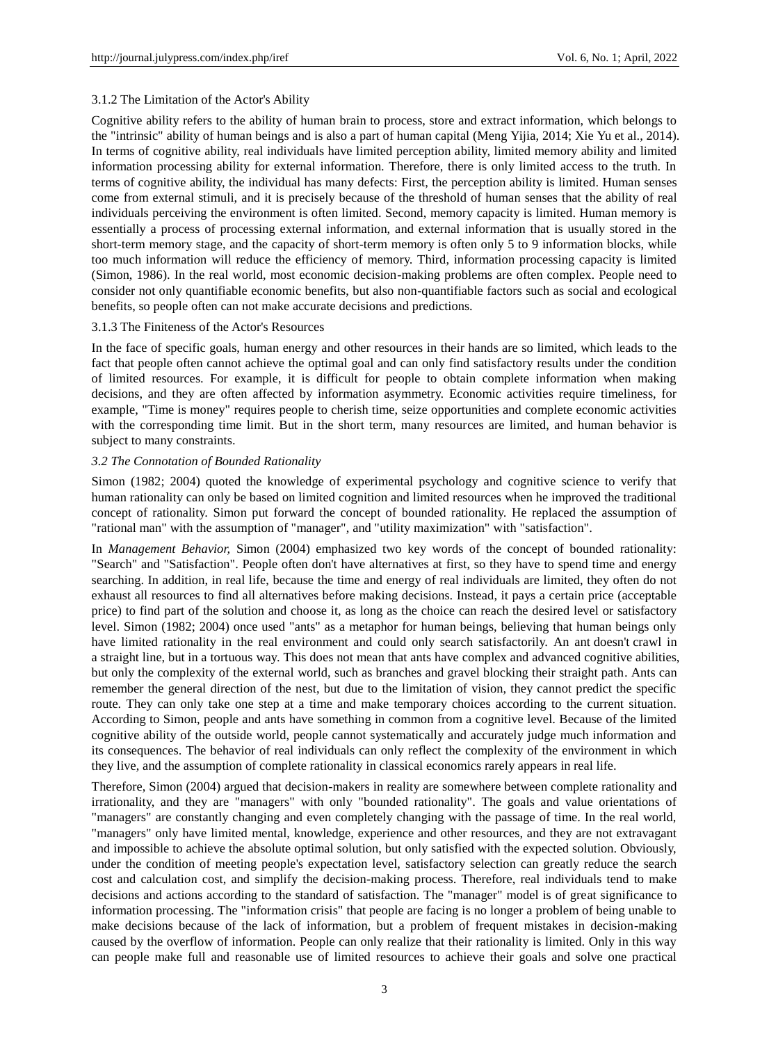## 3.1.2 The Limitation of the Actor's Ability

Cognitive ability refers to the ability of human brain to process, store and extract information, which belongs to the "intrinsic" ability of human beings and is also a part of human capital (Meng Yijia, 2014; Xie Yu et al., 2014). In terms of cognitive ability, real individuals have limited perception ability, limited memory ability and limited information processing ability for external information. Therefore, there is only limited access to the truth. In terms of cognitive ability, the individual has many defects: First, the perception ability is limited. Human senses come from external stimuli, and it is precisely because of the threshold of human senses that the ability of real individuals perceiving the environment is often limited. Second, memory capacity is limited. Human memory is essentially a process of processing external information, and external information that is usually stored in the short-term memory stage, and the capacity of short-term memory is often only 5 to 9 information blocks, while too much information will reduce the efficiency of memory. Third, information processing capacity is limited (Simon, 1986). In the real world, most economic decision-making problems are often complex. People need to consider not only quantifiable economic benefits, but also non-quantifiable factors such as social and ecological benefits, so people often can not make accurate decisions and predictions.

#### 3.1.3 The Finiteness of the Actor's Resources

In the face of specific goals, human energy and other resources in their hands are so limited, which leads to the fact that people often cannot achieve the optimal goal and can only find satisfactory results under the condition of limited resources. For example, it is difficult for people to obtain complete information when making decisions, and they are often affected by information asymmetry. Economic activities require timeliness, for example, "Time is money" requires people to cherish time, seize opportunities and complete economic activities with the corresponding time limit. But in the short term, many resources are limited, and human behavior is subject to many constraints.

#### *3.2 The Connotation of Bounded Rationality*

Simon (1982; 2004) quoted the knowledge of experimental psychology and cognitive science to verify that human rationality can only be based on limited cognition and limited resources when he improved the traditional concept of rationality. Simon put forward the concept of bounded rationality. He replaced the assumption of "rational man" with the assumption of "manager", and "utility maximization" with "satisfaction".

In *Management Behavior,* Simon (2004) emphasized two key words of the concept of bounded rationality: "Search" and "Satisfaction". People often don't have alternatives at first, so they have to spend time and energy searching. In addition, in real life, because the time and energy of real individuals are limited, they often do not exhaust all resources to find all alternatives before making decisions. Instead, it pays a certain price (acceptable price) to find part of the solution and choose it, as long as the choice can reach the desired level or satisfactory level. Simon (1982; 2004) once used "ants" as a metaphor for human beings, believing that human beings only have limited rationality in the real environment and could only search satisfactorily. An ant doesn't crawl in a straight line, but in a tortuous way. This does not mean that ants have complex and advanced cognitive abilities, but only the complexity of the external world, such as branches and gravel blocking their straight path. Ants can remember the general direction of the nest, but due to the limitation of vision, they cannot predict the specific route. They can only take one step at a time and make temporary choices according to the current situation. According to Simon, people and ants have something in common from a cognitive level. Because of the limited cognitive ability of the outside world, people cannot systematically and accurately judge much information and its consequences. The behavior of real individuals can only reflect the complexity of the environment in which they live, and the assumption of complete rationality in classical economics rarely appears in real life.

Therefore, Simon (2004) argued that decision-makers in reality are somewhere between complete rationality and irrationality, and they are "managers" with only "bounded rationality". The goals and value orientations of "managers" are constantly changing and even completely changing with the passage of time. In the real world, "managers" only have limited mental, knowledge, experience and other resources, and they are not extravagant and impossible to achieve the absolute optimal solution, but only satisfied with the expected solution. Obviously, under the condition of meeting people's expectation level, satisfactory selection can greatly reduce the search cost and calculation cost, and simplify the decision-making process. Therefore, real individuals tend to make decisions and actions according to the standard of satisfaction. The "manager" model is of great significance to information processing. The "information crisis" that people are facing is no longer a problem of being unable to make decisions because of the lack of information, but a problem of frequent mistakes in decision-making caused by the overflow of information. People can only realize that their rationality is limited. Only in this way can people make full and reasonable use of limited resources to achieve their goals and solve one practical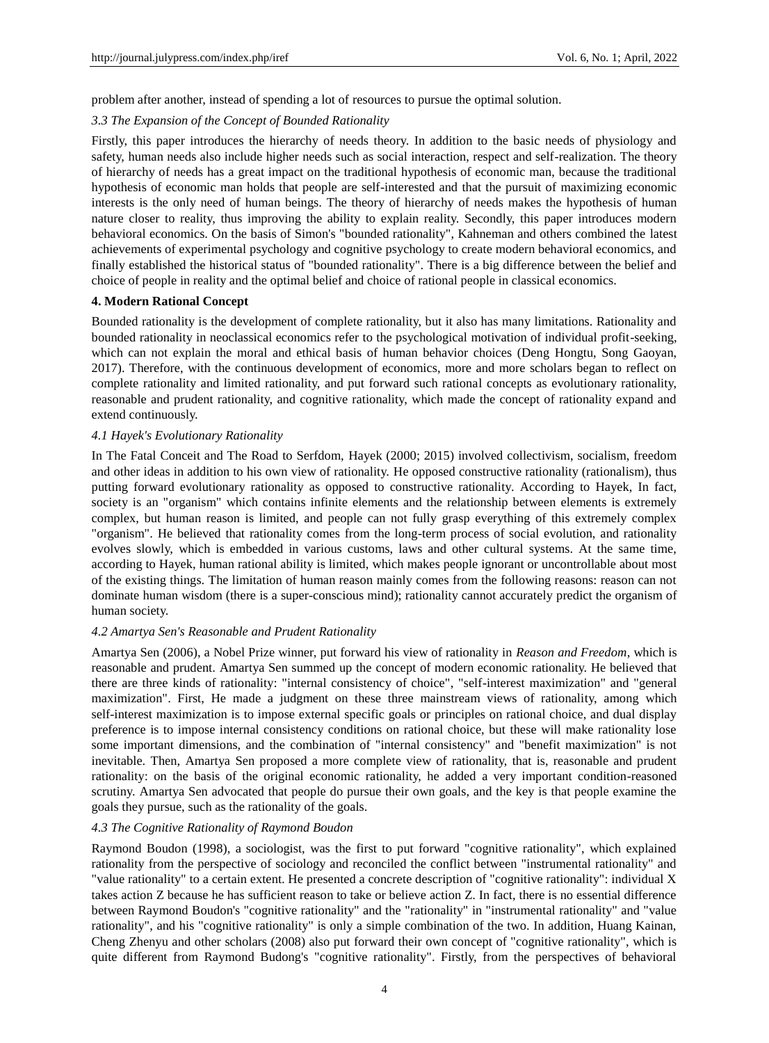problem after another, instead of spending a lot of resources to pursue the optimal solution.

#### *3.3 The Expansion of the Concept of Bounded Rationality*

Firstly, this paper introduces the hierarchy of needs theory. In addition to the basic needs of physiology and safety, human needs also include higher needs such as social interaction, respect and self-realization. The theory of hierarchy of needs has a great impact on the traditional hypothesis of economic man, because the traditional hypothesis of economic man holds that people are self-interested and that the pursuit of maximizing economic interests is the only need of human beings. The theory of hierarchy of needs makes the hypothesis of human nature closer to reality, thus improving the ability to explain reality. Secondly, this paper introduces modern behavioral economics. On the basis of Simon's "bounded rationality", Kahneman and others combined the latest achievements of experimental psychology and cognitive psychology to create modern behavioral economics, and finally established the historical status of "bounded rationality". There is a big difference between the belief and choice of people in reality and the optimal belief and choice of rational people in classical economics.

#### **4. Modern Rational Concept**

Bounded rationality is the development of complete rationality, but it also has many limitations. Rationality and bounded rationality in neoclassical economics refer to the psychological motivation of individual profit-seeking, which can not explain the moral and ethical basis of human behavior choices (Deng Hongtu, Song Gaoyan, 2017). Therefore, with the continuous development of economics, more and more scholars began to reflect on complete rationality and limited rationality, and put forward such rational concepts as evolutionary rationality, reasonable and prudent rationality, and cognitive rationality, which made the concept of rationality expand and extend continuously.

#### *4.1 Hayek's Evolutionary Rationality*

In The Fatal Conceit and The Road to Serfdom, Hayek (2000; 2015) involved collectivism, socialism, freedom and other ideas in addition to his own view of rationality. He opposed constructive rationality (rationalism), thus putting forward evolutionary rationality as opposed to constructive rationality. According to Hayek, In fact, society is an "organism" which contains infinite elements and the relationship between elements is extremely complex, but human reason is limited, and people can not fully grasp everything of this extremely complex "organism". He believed that rationality comes from the long-term process of social evolution, and rationality evolves slowly, which is embedded in various customs, laws and other cultural systems. At the same time, according to Hayek, human rational ability is limited, which makes people ignorant or uncontrollable about most of the existing things. The limitation of human reason mainly comes from the following reasons: reason can not dominate human wisdom (there is a super-conscious mind); rationality cannot accurately predict the organism of human society.

#### *4.2 Amartya Sen's Reasonable and Prudent Rationality*

Amartya Sen (2006), a Nobel Prize winner, put forward his view of rationality in *Reason and Freedom*, which is reasonable and prudent. Amartya Sen summed up the concept of modern economic rationality. He believed that there are three kinds of rationality: "internal consistency of choice", "self-interest maximization" and "general maximization". First, He made a judgment on these three mainstream views of rationality, among which self-interest maximization is to impose external specific goals or principles on rational choice, and dual display preference is to impose internal consistency conditions on rational choice, but these will make rationality lose some important dimensions, and the combination of "internal consistency" and "benefit maximization" is not inevitable. Then, Amartya Sen proposed a more complete view of rationality, that is, reasonable and prudent rationality: on the basis of the original economic rationality, he added a very important condition-reasoned scrutiny. Amartya Sen advocated that people do pursue their own goals, and the key is that people examine the goals they pursue, such as the rationality of the goals.

#### *4.3 The Cognitive Rationality of Raymond Boudon*

Raymond Boudon (1998), a sociologist, was the first to put forward "cognitive rationality", which explained rationality from the perspective of sociology and reconciled the conflict between "instrumental rationality" and "value rationality" to a certain extent. He presented a concrete description of "cognitive rationality": individual X takes action Z because he has sufficient reason to take or believe action Z. In fact, there is no essential difference between Raymond Boudon's "cognitive rationality" and the "rationality" in "instrumental rationality" and "value rationality", and his "cognitive rationality" is only a simple combination of the two. In addition, Huang Kainan, Cheng Zhenyu and other scholars (2008) also put forward their own concept of "cognitive rationality", which is quite different from Raymond Budong's "cognitive rationality". Firstly, from the perspectives of behavioral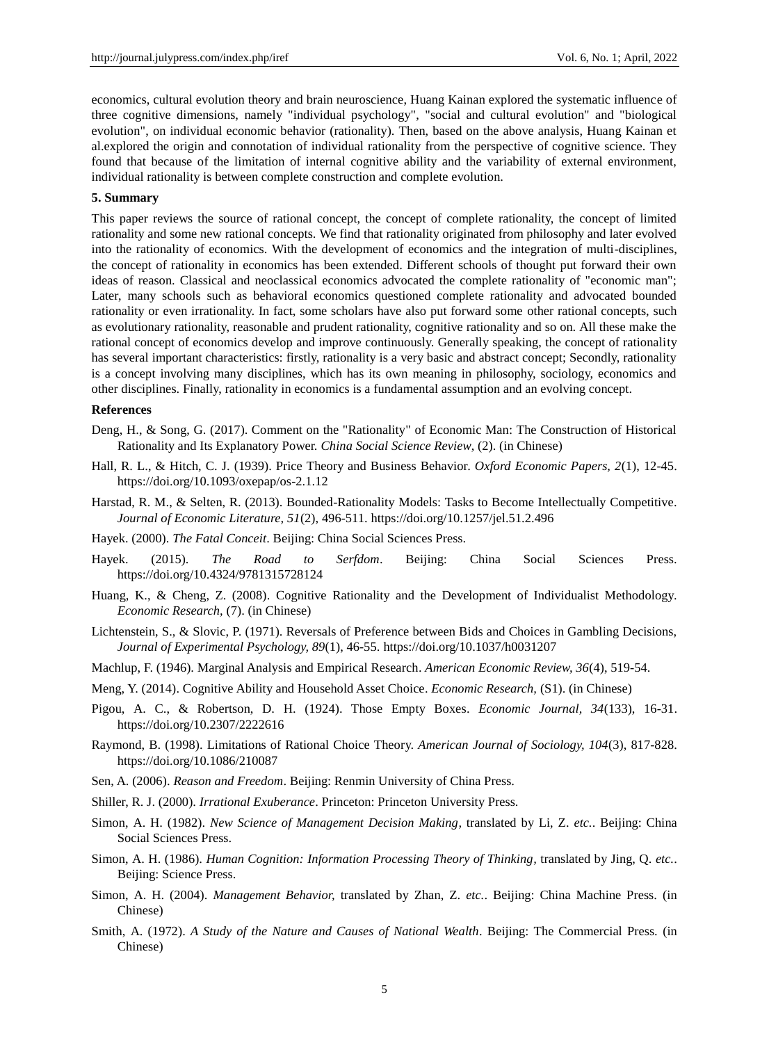economics, cultural evolution theory and brain neuroscience, Huang Kainan explored the systematic influence of three cognitive dimensions, namely "individual psychology", "social and cultural evolution" and "biological evolution", on individual economic behavior (rationality). Then, based on the above analysis, Huang Kainan et al.explored the origin and connotation of individual rationality from the perspective of cognitive science. They found that because of the limitation of internal cognitive ability and the variability of external environment, individual rationality is between complete construction and complete evolution.

#### **5. Summary**

This paper reviews the source of rational concept, the concept of complete rationality, the concept of limited rationality and some new rational concepts. We find that rationality originated from philosophy and later evolved into the rationality of economics. With the development of economics and the integration of multi-disciplines, the concept of rationality in economics has been extended. Different schools of thought put forward their own ideas of reason. Classical and neoclassical economics advocated the complete rationality of "economic man"; Later, many schools such as behavioral economics questioned complete rationality and advocated bounded rationality or even irrationality. In fact, some scholars have also put forward some other rational concepts, such as evolutionary rationality, reasonable and prudent rationality, cognitive rationality and so on. All these make the rational concept of economics develop and improve continuously. Generally speaking, the concept of rationality has several important characteristics: firstly, rationality is a very basic and abstract concept; Secondly, rationality is a concept involving many disciplines, which has its own meaning in philosophy, sociology, economics and other disciplines. Finally, rationality in economics is a fundamental assumption and an evolving concept.

#### **References**

- Deng, H., & Song, G. (2017). Comment on the "Rationality" of Economic Man: The Construction of Historical Rationality and Its Explanatory Power. *China Social Science Review*, (2). (in Chinese)
- Hall, R. L., & Hitch, C. J. (1939). Price Theory and Business Behavior. *Oxford Economic Papers, 2*(1), 12-45. https://doi.org/10.1093/oxepap/os-2.1.12
- Harstad, R. M., & Selten, R. (2013). Bounded-Rationality Models: Tasks to Become Intellectually Competitive. *Journal of Economic Literature, 51*(2), 496-511. https://doi.org/10.1257/jel.51.2.496
- Hayek. (2000). *The Fatal Conceit*. Beijing: China Social Sciences Press.
- Hayek. (2015). *The Road to Serfdom*. Beijing: China Social Sciences Press. https://doi.org/10.4324/9781315728124
- Huang, K., & Cheng, Z. (2008). Cognitive Rationality and the Development of Individualist Methodology. *Economic Research,* (7). (in Chinese)
- Lichtenstein, S., & Slovic, P. (1971). Reversals of Preference between Bids and Choices in Gambling Decisions, *Journal of Experimental Psychology, 89*(1), 46-55. https://doi.org/10.1037/h0031207
- Machlup, F. (1946). Marginal Analysis and Empirical Research. *American Economic Review, 36*(4), 519-54.
- Meng, Y. (2014). Cognitive Ability and Household Asset Choice. *Economic Research,* (S1). (in Chinese)
- Pigou, A. C., & Robertson, D. H. (1924). Those Empty Boxes. *Economic Journal, 34*(133), 16-31. https://doi.org/10.2307/2222616
- Raymond, B. (1998). Limitations of Rational Choice Theory. *American Journal of Sociology, 104*(3), 817-828. https://doi.org/10.1086/210087
- Sen, A. (2006). *Reason and Freedom*. Beijing: Renmin University of China Press.
- Shiller, R. J. (2000). *Irrational Exuberance*. Princeton: Princeton University Press.
- Simon, A. H. (1982). *New Science of Management Decision Making,* translated by Li, Z. *etc.*. Beijing: China Social Sciences Press.
- Simon, A. H. (1986). *Human Cognition: Information Processing Theory of Thinking,* translated by Jing, Q. *etc.*. Beijing: Science Press.
- Simon, A. H. (2004). *Management Behavior,* translated by Zhan, Z. *etc.*. Beijing: China Machine Press. (in Chinese)
- Smith, A. (1972). *A Study of the Nature and Causes of National Wealth*. Beijing: The Commercial Press. (in Chinese)